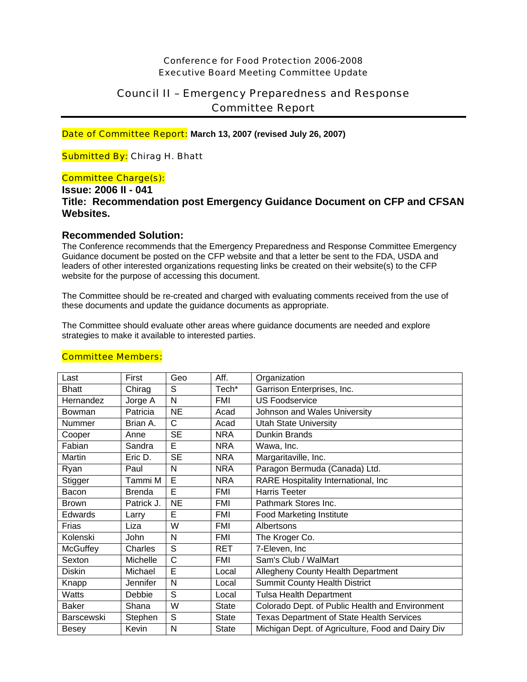## Conference for Food Protection 2006-2008 Executive Board Meeting Committee Update

# Council II – Emergency Preparedness and Response Committee Report

Date of Committee Report: **March 13, 2007 (revised July 26, 2007)**

## Submitted By: Chirag H. Bhatt

### Committee Charge(s):

## **Issue: 2006 II - 041 Title: Recommendation post Emergency Guidance Document on CFP and CFSAN Websites.**

## **Recommended Solution:**

The Conference recommends that the Emergency Preparedness and Response Committee Emergency Guidance document be posted on the CFP website and that a letter be sent to the FDA, USDA and leaders of other interested organizations requesting links be created on their website(s) to the CFP website for the purpose of accessing this document.

The Committee should be re-created and charged with evaluating comments received from the use of these documents and update the guidance documents as appropriate.

The Committee should evaluate other areas where guidance documents are needed and explore strategies to make it available to interested parties.

| Last              | First         | Geo          | Aff.         | Organization                                      |
|-------------------|---------------|--------------|--------------|---------------------------------------------------|
| <b>Bhatt</b>      | Chirag        | S            | Tech*        | Garrison Enterprises, Inc.                        |
| Hernandez         | Jorge A       | N            | FMI          | <b>US Foodservice</b>                             |
| Bowman            | Patricia      | <b>NE</b>    | Acad         | Johnson and Wales University                      |
| Nummer            | Brian A.      | C            | Acad         | <b>Utah State University</b>                      |
| Cooper            | Anne          | <b>SE</b>    | <b>NRA</b>   | <b>Dunkin Brands</b>                              |
| Fabian            | Sandra        | Е            | <b>NRA</b>   | Wawa, Inc.                                        |
| Martin            | Eric D.       | <b>SE</b>    | <b>NRA</b>   | Margaritaville, Inc.                              |
| Ryan              | Paul          | N            | <b>NRA</b>   | Paragon Bermuda (Canada) Ltd.                     |
| Stigger           | Tammi M       | E            | <b>NRA</b>   | RARE Hospitality International, Inc               |
| Bacon             | <b>Brenda</b> | Ē            | <b>FMI</b>   | <b>Harris Teeter</b>                              |
| <b>Brown</b>      | Patrick J.    | <b>NE</b>    | FMI          | Pathmark Stores Inc.                              |
| Edwards           | Larry         | Ē            | <b>FMI</b>   | <b>Food Marketing Institute</b>                   |
| Frias             | Liza          | W            | <b>FMI</b>   | Albertsons                                        |
| Kolenski          | John          | N            | FMI          | The Kroger Co.                                    |
| <b>McGuffey</b>   | Charles       | S            | <b>RET</b>   | 7-Eleven, Inc                                     |
| Sexton            | Michelle      | $\mathsf{C}$ | <b>FMI</b>   | Sam's Club / WalMart                              |
| <b>Diskin</b>     | Michael       | E            | Local        | <b>Allegheny County Health Department</b>         |
| Knapp             | Jennifer      | N            | Local        | <b>Summit County Health District</b>              |
| Watts             | Debbie        | S            | Local        | <b>Tulsa Health Department</b>                    |
| <b>Baker</b>      | Shana         | W            | <b>State</b> | Colorado Dept. of Public Health and Environment   |
| <b>Barscewski</b> | Stephen       | S            | <b>State</b> | <b>Texas Department of State Health Services</b>  |
| <b>Besey</b>      | Kevin         | N            | State        | Michigan Dept. of Agriculture, Food and Dairy Div |

## Committee Members: